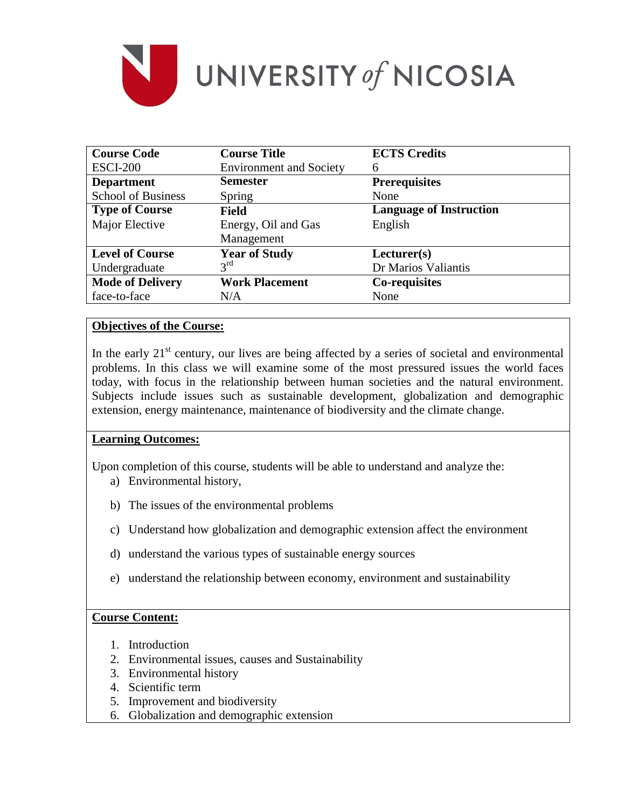

| <b>Course Code</b>        | <b>Course Title</b>            | <b>ECTS Credits</b>            |  |
|---------------------------|--------------------------------|--------------------------------|--|
| <b>ESCI-200</b>           | <b>Environment and Society</b> | 6                              |  |
| <b>Department</b>         | <b>Semester</b>                | <b>Prerequisites</b>           |  |
| <b>School of Business</b> | Spring                         | None                           |  |
| <b>Type of Course</b>     | <b>Field</b>                   | <b>Language of Instruction</b> |  |
| Major Elective            | Energy, Oil and Gas            | English                        |  |
|                           | Management                     |                                |  |
| <b>Level of Course</b>    | <b>Year of Study</b>           | Lecturer(s)                    |  |
| Undergraduate             | $3^{\text{rd}}$                | Dr Marios Valiantis            |  |
| <b>Mode of Delivery</b>   | <b>Work Placement</b>          | <b>Co-requisites</b>           |  |
| face-to-face              | N/A                            | None                           |  |

### **Objectives of the Course:**

In the early  $21<sup>st</sup>$  century, our lives are being affected by a series of societal and environmental problems. In this class we will examine some of the most pressured issues the world faces today, with focus in the relationship between human societies and the natural environment. Subjects include issues such as sustainable development, globalization and demographic extension, energy maintenance, maintenance of biodiversity and the climate change.

#### **Learning Outcomes:**

Upon completion of this course, students will be able to understand and analyze the:

- a) Environmental history,
- b) The issues of the environmental problems
- c) Understand how globalization and demographic extension affect the environment
- d) understand the various types of sustainable energy sources
- e) understand the relationship between economy, environment and sustainability

## **Course Content:**

- 1. Introduction
- 2. Environmental issues, causes and Sustainability
- 3. Environmental history
- 4. Scientific term
- 5. Improvement and biodiversity
- 6. Globalization and demographic extension